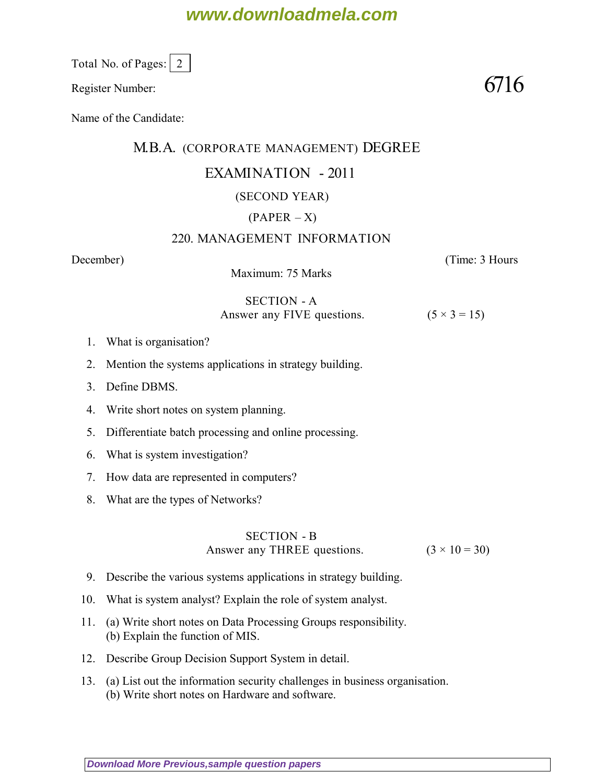# **www.downloadmela.com**

Total No. of Pages: 2

Register Number:  $6716$ 

Name of the Candidate:

## M.B.A. (CORPORATE MANAGEMENT) DEGREE

## EXAMINATION - 2011

## (SECOND YEAR)

## $(PAPER - X)$

### 220. MANAGEMENT INFORMATION

*December*) (*Time: 3 Hours*

Maximum: 75 Marks

### SECTION - A Answer any FIVE questions.  $(5 \times 3 = 15)$

- 1. What is organisation?
- 2. Mention the systems applications in strategy building.
- 3. Define DBMS.
- 4. Write short notes on system planning.
- 5. Differentiate batch processing and online processing.
- 6. What is system investigation?
- 7. How data are represented in computers?
- 8. What are the types of Networks?

## SECTION - B Answer any THREE questions.  $(3 \times 10 = 30)$

- 9. Describe the various systems applications in strategy building.
- 10. What is system analyst? Explain the role of system analyst.
- 11. (a) Write short notes on Data Processing Groups responsibility. (b) Explain the function of MIS.
- 12. Describe Group Decision Support System in detail.
- 13. (a) List out the information security challenges in business organisation. (b) Write short notes on Hardware and software.